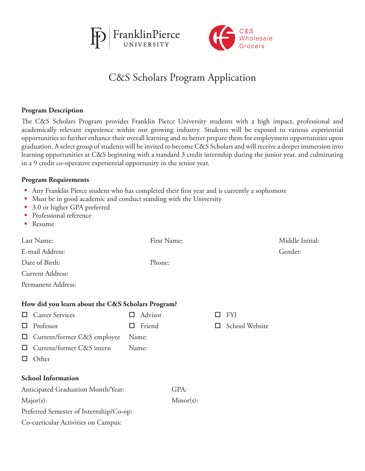



# C&S Scholars Program Application

## **Program Description**

The C&S Scholars Program provides Franklin Pierce University students with a high impact, professional and academically relevant experience within our growing industry. Students will be exposed to various experiential opportunities to further enhance their overall learning and to better prepare them for employment opportunities upon graduation. A select group of students will be invited to become C&S Scholars and will receive a deeper immersion into learning opportunities at C&S beginning with a standard 3 credit internship during the junior year, and culminating in a 9 credit co-operative experiential opportunity in the senior year.

#### **Program Requirements**

- Any Franklin Pierce student who has completed their first year and is currently a sophomore
- Must be in good academic and conduct standing with the University
- 3.0 or higher GPA preferred
- **Professional reference**
- Resume

| Last Name:                                        |             | First Name:  |    |                | Middle Initial: |
|---------------------------------------------------|-------------|--------------|----|----------------|-----------------|
| E-mail Address:                                   |             |              |    |                | Gender:         |
| Date of Birth:                                    | Phone:      |              |    |                |                 |
| Current Address:                                  |             |              |    |                |                 |
| Permanent Address:                                |             |              |    |                |                 |
| How did you learn about the C&S Scholars Program? |             |              |    |                |                 |
| <b>Career Services</b><br>ப                       | Advisor     |              | LΙ | <b>FYI</b>     |                 |
| Professor<br>ப                                    | Friend<br>ப |              | H  | School Website |                 |
| Current/former C&S employee<br>ப                  | Name:       |              |    |                |                 |
| Current/former C&S intern<br>ப                    | Name:       |              |    |                |                 |
| Other<br>ப                                        |             |              |    |                |                 |
| <b>School Information</b>                         |             |              |    |                |                 |
| Anticipated Graduation Month/Year:                |             | GPA:         |    |                |                 |
| $Major(s)$ :                                      |             | $Minor(s)$ : |    |                |                 |
| Preferred Semester of Internship/Co-op:           |             |              |    |                |                 |
| Co-curricular Activities on Campus:               |             |              |    |                |                 |